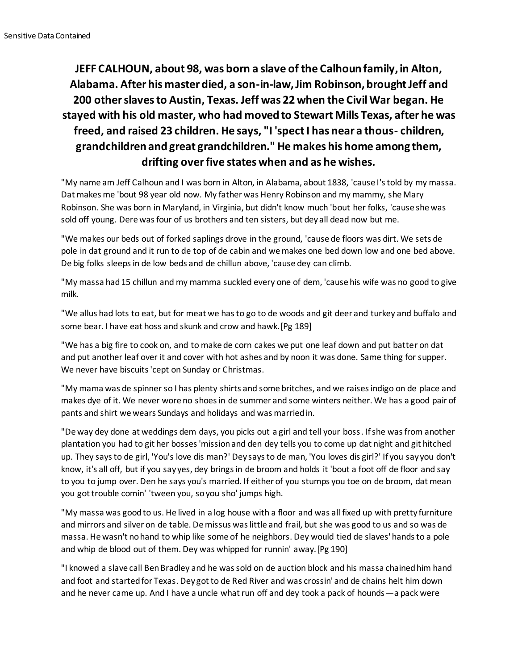## **JEFF CALHOUN, about 98, was born a slave of the Calhoun family, in Alton, Alabama. After his master died, a son-in-law, Jim Robinson, brought Jeff and 200 other slaves to Austin, Texas. Jeff was 22 when the Civil War began. He stayed with his old master, who had moved to Stewart Mills Texas, after he was freed, and raised 23 children. He says, "I 'spect I has near a thous- children, grandchildren and great grandchildren." He makes his home among them, drifting over five states when and as he wishes.**

"My name am Jeff Calhoun and I was born in Alton, in Alabama, about 1838, 'cause I's told by my massa. Dat makes me 'bout 98 year old now. My father was Henry Robinson and my mammy, she Mary Robinson. She was born in Maryland, in Virginia, but didn't know much 'bout her folks, 'cause she was sold off young. Dere was four of us brothers and ten sisters, but dey all dead now but me.

"We makes our beds out of forked saplings drove in the ground, 'cause de floors was dirt. We sets de pole in dat ground and it run to de top of de cabin and we makes one bed down low and one bed above. De big folks sleeps in de low beds and de chillun above, 'cause dey can climb.

"My massa had 15 chillun and my mamma suckled every one of dem, 'cause his wife was no good to give milk.

"We allus had lots to eat, but for meat we has to go to de woods and git deer and turkey and buffalo and some bear. I have eat hoss and skunk and crow and hawk.[Pg 189]

"We has a big fire to cook on, and to make de corn cakes we put one leaf down and put batter on dat and put another leaf over it and cover with hot ashes and by noon it was done. Same thing for supper. We never have biscuits 'cept on Sunday or Christmas.

"My mama was de spinner so I has plenty shirts and some britches, and we raises indigo on de place and makes dye of it. We never wore no shoes in de summer and some winters neither. We has a good pair of pants and shirt we wears Sundays and holidays and was married in.

"De way dey done at weddings dem days, you picks out a girl and tell your boss. If she was from another plantation you had to git her bosses 'mission and den dey tells you to come up dat night and git hitched up. They says to de girl, 'You's love dis man?' Dey says to de man, 'You loves dis girl?' If you say you don't know, it's all off, but if you say yes, dey brings in de broom and holds it 'bout a foot off de floor and say to you to jump over. Den he says you's married. If either of you stumps you toe on de broom, dat mean you got trouble comin' 'tween you, so you sho' jumps high.

"My massa was good to us. He lived in a log house with a floor and was all fixed up with pretty furniture and mirrors and silver on de table. De missus was little and frail, but she was good to us and so was de massa. He wasn't no hand to whip like some of he neighbors. Dey would tied de slaves' hands to a pole and whip de blood out of them. Dey was whipped for runnin' away.[Pg 190]

"I knowed a slave call Ben Bradley and he was sold on de auction block and his massa chained him hand and foot and started for Texas. Dey got to de Red River and was crossin' and de chains helt him down and he never came up. And I have a uncle what run off and dey took a pack of hounds—a pack were